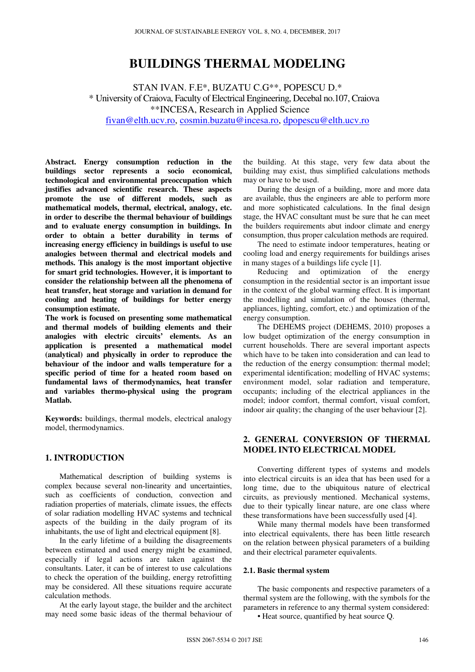# **BUILDINGS THERMAL MODELING**

STAN IVAN. F.E\*, BUZATU C.G\*\*, POPESCU D.\* \* University of Craiova, Faculty of Electrical Engineering, Decebal no.107, Craiova \*\*INCESA, Research in Applied Science fivan@elth.ucv.ro, cosmin.buzatu@incesa.ro, dpopescu@elth.ucv.ro

**Abstract. Energy consumption reduction in the buildings sector represents a socio economical, technological and environmental preoccupation which justifies advanced scientific research. These aspects promote the use of different models, such as mathematical models, thermal, electrical, analogy, etc. in order to describe the thermal behaviour of buildings and to evaluate energy consumption in buildings. In order to obtain a better durability in terms of increasing energy efficiency in buildings is useful to use analogies between thermal and electrical models and methods. This analogy is the most important objective for smart grid technologies. However, it is important to consider the relationship between all the phenomena of heat transfer, heat storage and variation in demand for cooling and heating of buildings for better energy consumption estimate.** 

**The work is focused on presenting some mathematical and thermal models of building elements and their analogies with electric circuits' elements. As an application is presented a mathematical model (analytical) and physically in order to reproduce the behaviour of the indoor and walls temperature for a specific period of time for a heated room based on fundamental laws of thermodynamics, heat transfer and variables thermo-physical using the program Matlab.** 

**Keywords:** buildings, thermal models, electrical analogy model, thermodynamics.

# **1. INTRODUCTION**

Mathematical description of building systems is complex because several non-linearity and uncertainties, such as coefficients of conduction, convection and radiation properties of materials, climate issues, the effects of solar radiation modelling HVAC systems and technical aspects of the building in the daily program of its inhabitants, the use of light and electrical equipment [8].

In the early lifetime of a building the disagreements between estimated and used energy might be examined, especially if legal actions are taken against the consultants. Later, it can be of interest to use calculations to check the operation of the building, energy retrofitting may be considered. All these situations require accurate calculation methods.

At the early layout stage, the builder and the architect may need some basic ideas of the thermal behaviour of

the building. At this stage, very few data about the building may exist, thus simplified calculations methods may or have to be used.

During the design of a building, more and more data are available, thus the engineers are able to perform more and more sophisticated calculations. In the final design stage, the HVAC consultant must be sure that he can meet the builders requirements abut indoor climate and energy consumption, thus proper calculation methods are required.

The need to estimate indoor temperatures, heating or cooling load and energy requirements for buildings arises in many stages of a buildings life cycle [1].

Reducing and optimization of the energy consumption in the residential sector is an important issue in the context of the global warming effect. It is important the modelling and simulation of the houses (thermal, appliances, lighting, comfort, etc.) and optimization of the energy consumption.

The DEHEMS project (DEHEMS, 2010) proposes a low budget optimization of the energy consumption in current households. There are several important aspects which have to be taken into consideration and can lead to the reduction of the energy consumption: thermal model; experimental identification; modelling of HVAC systems; environment model, solar radiation and temperature, occupants; including of the electrical appliances in the model; indoor comfort, thermal comfort, visual comfort, indoor air quality; the changing of the user behaviour [2].

# **2. GENERAL CONVERSION OF THERMAL MODEL INTO ELECTRICAL MODEL**

Converting different types of systems and models into electrical circuits is an idea that has been used for a long time, due to the ubiquitous nature of electrical circuits, as previously mentioned. Mechanical systems, due to their typically linear nature, are one class where these transformations have been successfully used [4].

While many thermal models have been transformed into electrical equivalents, there has been little research on the relation between physical parameters of a building and their electrical parameter equivalents.

#### **2.1. Basic thermal system**

The basic components and respective parameters of a thermal system are the following, with the symbols for the parameters in reference to any thermal system considered: • Heat source, quantified by heat source Q.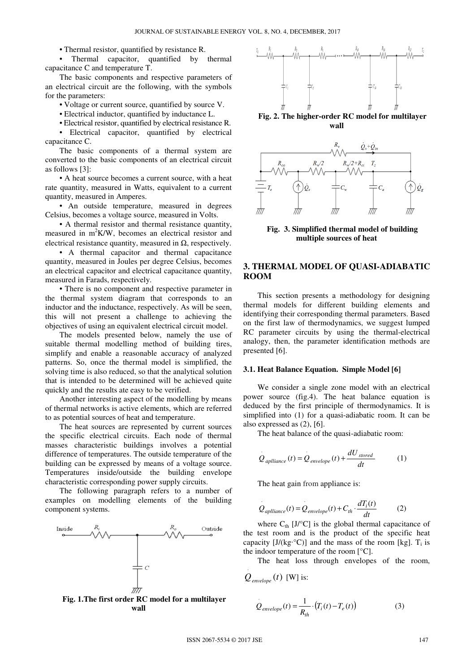• Thermal resistor, quantified by resistance R.

• Thermal capacitor, quantified by thermal capacitance C and temperature T.

The basic components and respective parameters of an electrical circuit are the following, with the symbols for the parameters:

• Voltage or current source, quantified by source V.

• Electrical inductor, quantified by inductance L.

• Electrical resistor, quantified by electrical resistance R. • Electrical capacitor, quantified by electrical capacitance C.

The basic components of a thermal system are converted to the basic components of an electrical circuit as follows [3]:

• A heat source becomes a current source, with a heat rate quantity, measured in Watts, equivalent to a current quantity, measured in Amperes.

• An outside temperature, measured in degrees Celsius, becomes a voltage source, measured in Volts.

• A thermal resistor and thermal resistance quantity, measured in m<sup>2</sup>K/W, becomes an electrical resistor and electrical resistance quantity, measured in  $\Omega$ , respectively.

• A thermal capacitor and thermal capacitance quantity, measured in Joules per degree Celsius, becomes an electrical capacitor and electrical capacitance quantity, measured in Farads, respectively.

• There is no component and respective parameter in the thermal system diagram that corresponds to an inductor and the inductance, respectively. As will be seen, this will not present a challenge to achieving the objectives of using an equivalent electrical circuit model.

The models presented below, namely the use of suitable thermal modelling method of building tires, simplify and enable a reasonable accuracy of analyzed patterns. So, once the thermal model is simplified, the solving time is also reduced, so that the analytical solution that is intended to be determined will be achieved quite quickly and the results ate easy to be verified.

Another interesting aspect of the modelling by means of thermal networks is active elements, which are referred to as potential sources of heat and temperature.

The heat sources are represented by current sources the specific electrical circuits. Each node of thermal masses characteristic buildings involves a potential difference of temperatures. The outside temperature of the building can be expressed by means of a voltage source. Temperatures inside/outside the building envelope characteristic corresponding power supply circuits.

The following paragraph refers to a number of examples on modelling elements of the building component systems.







**Fig. 2. The higher-order RC model for multilayer wall** 



**Fig. 3. Simplified thermal model of building multiple sources of heat**

# **3. THERMAL MODEL OF QUASI-ADIABATIC ROOM**

This section presents a methodology for designing thermal models for different building elements and identifying their corresponding thermal parameters. Based on the first law of thermodynamics, we suggest lumped RC parameter circuits by using the thermal-electrical analogy, then, the parameter identification methods are presented [6].

#### **3.1. Heat Balance Equation. Simple Model [6]**

We consider a single zone model with an electrical power source (fig.4). The heat balance equation is deduced by the first principle of thermodynamics. It is simplified into (1) for a quasi-adiabatic room. It can be also expressed as (2), [6].

The heat balance of the quasi-adiabatic room:

$$
Q_{\text{aplliance}}(t) = Q_{\text{envelope}}(t) + \frac{dU_{\text{stored}}}{dt} \tag{1}
$$

The heat gain from appliance is:

$$
Q_{\text{aplliance}}(t) = Q_{\text{envelope}}(t) + C_{\text{th}} \cdot \frac{dT_i(t)}{dt} \tag{2}
$$

where  $C_{\text{th}}$  [J/ $^{\circ}$ C] is the global thermal capacitance of the test room and is the product of the specific heat capacity [ $J/(kg \cdot {}^{\circ}C)$ ] and the mass of the room [kg].  $T_i$  is the indoor temperature of the room  $[°C]$ .

The heat loss through envelopes of the room,

$$
Q_{\text{envelope}}(t) \, \text{[W] is:}
$$

$$
Q_{\text{envelope}}(t) = \frac{1}{R_{th}} \cdot (T_i(t) - T_e(t)) \tag{3}
$$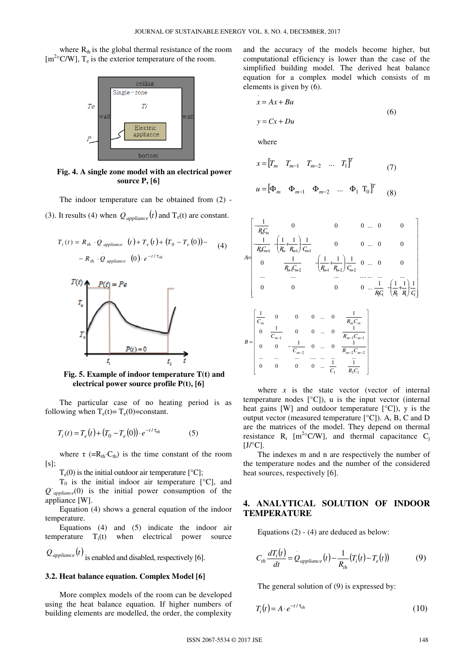where  $R_{th}$  is the global thermal resistance of the room  $[m<sup>2</sup>°C/W]$ ,  $T_e$  is the exterior temperature of the room.



**Fig. 4. A single zone model with an electrical power source P, [6]**

The indoor temperature can be obtained from (2) - (3). It results (4) when  $Q_{\text{appliance}}(t)$  $Q_{\text{appliance}}(t)$  and  $T_e(t)$  are constant.

$$
T_i(t) = R_{th} \cdot Q_{\text{appliance}} \quad (t) + T_e(t) + (T_0 - T_e(0)) -
$$
  
-  $R_{th} \cdot Q_{\text{appliance}} \quad (0) \cdot e^{-t/\tau_{th}}$  (4)



**Fig. 5. Example of indoor temperature T(t) and electrical power source profile P(t), [6]**

The particular case of no heating period is as following when  $T_e(t) = T_e(0) = constant$ .

$$
T_i(t) = T_e(t) + (T_0 - T_e(0)) \cdot e^{-t/\tau_{th}}
$$
 (5)

where  $\tau$  (= $R_{th}$ ·C<sub>th</sub>) is the time constant of the room [s];

 $T_e(0)$  is the initial outdoor air temperature  $[°C]$ ;

 $T_0$  is the initial indoor air temperature  $[°C]$ , and *Q*˙*appliance*(0) is the initial power consumption of the appliance [W].

Equation (4) shows a general equation of the indoor temperature.

Equations (4) and (5) indicate the indoor air temperature  $T_i(t)$  when electrical power source ⋅

 $Q_{\mathit{appliance}}(t)$ is enabled and disabled, respectively [6].

#### **3.2. Heat balance equation. Complex Model [6]**

More complex models of the room can be developed using the heat balance equation. If higher numbers of building elements are modelled, the order, the complexity

and the accuracy of the models become higher, but computational efficiency is lower than the case of the simplified building model. The derived heat balance equation for a complex model which consists of m elements is given by (6).

$$
x = Ax + Bu
$$
  
\n
$$
y = Cx + Du
$$
\n(6)

where

$$
x = [T_m \quad T_{m-1} \quad T_{m-2} \quad \dots \quad T_1]^T
$$
 (7)

$$
u = \begin{bmatrix} \Phi_m & \Phi_{m-1} & \Phi_{m-2} & \dots & \Phi_1 & \mathbf{T}_0 \end{bmatrix}^T \tag{8}
$$

$$
A = \begin{bmatrix} \frac{1}{R_n C_m} & 0 & 0 & 0 & \dots & 0 & 0\\ \frac{1}{R_n C_{m+1}} & \frac{1}{R_n + R_{m+1}} & \frac{1}{C_{m+1}} & 0 & 0 & \dots & 0 & 0\\ 0 & \frac{1}{R_{m+1} C_{m+2}} & \frac{1}{R_{m+1}} & \frac{1}{R_{m+2}} & \frac{1}{C_{m+2}} & 0 & \dots & 0 & 0\\ \vdots & \vdots & \vdots & \vdots & \vdots & \ddots & \vdots & \vdots & \vdots\\ 0 & 0 & 0 & \dots & 0 & \frac{1}{R_m C_m} & \frac{1}{R_2 + R} \end{bmatrix} \cdot \frac{1}{C_1}
$$
\n
$$
B = \begin{bmatrix} \frac{1}{C_m} & 0 & 0 & 0 & \dots & 0 & \frac{1}{R_m C_m} \\ 0 & \frac{1}{C_{m-1}} & 0 & 0 & \dots & 0 & \frac{1}{R_{m-1} C_{m-1}} \\ 0 & 0 & -\frac{1}{C_{m-2}} & 0 & \dots & 0 & \frac{1}{R_{m-2} C_{m-2}} \\ \vdots & \vdots & \vdots & \vdots & \vdots & \vdots\\ 0 & 0 & 0 & 0 & \dots & \frac{1}{C_1} & \frac{1}{R_1 C_1} \end{bmatrix}
$$

where  $x$  is the state vector (vector of internal temperature nodes [°C]), u is the input vector (internal heat gains [W] and outdoor temperature  $[°C]$ ), y is the output vector (measured temperature [°C]). A, B, C and D are the matrices of the model. They depend on thermal resistance  $R_i$  [m<sup>2</sup>°C/W], and thermal capacitance C<sub>j</sub>  $[J/°C]$ .

The indexes m and n are respectively the number of the temperature nodes and the number of the considered heat sources, respectively [6].

### **4. ANALYTICAL SOLUTION OF INDOOR TEMPERATURE**

Equations (2) - (4) are deduced as below:

$$
C_{th} \frac{dT_i(t)}{dt} = Q_{\text{application}}(t) - \frac{1}{R_{th}}(T_i(t) - T_e(t))
$$
\n(9)

The general solution of (9) is expressed by:

$$
T_i(t) = A \cdot e^{-t/\tau_{th}} \tag{10}
$$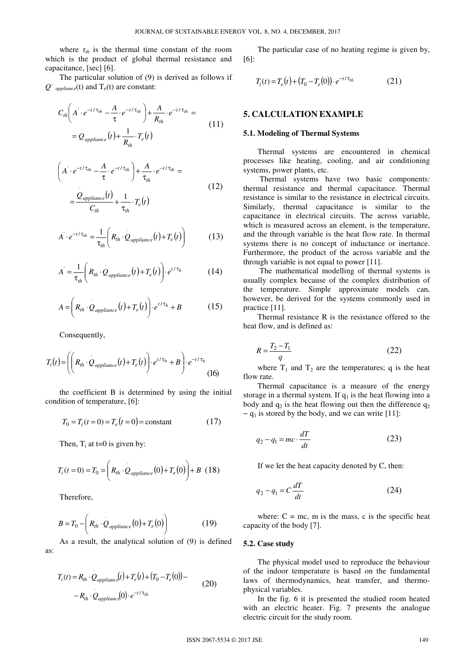where  $\tau_{th}$  is the thermal time constant of the room which is the product of global thermal resistance and capacitance, [sec] [6].

The particular solution of (9) is derived as follows if  $Q^{\dagger}$  *appliance*(t) and  $T_e(t)$  are constant:

$$
C_{th}\left(A\cdot e^{-t/\tau_{th}} - \frac{A}{\tau}\cdot e^{-t/\tau_{th}}\right) + \frac{A}{R_{th}}\cdot e^{-t/\tau_{th}} =
$$
  
=  $Q_{\text{application}}(t) + \frac{1}{R_{th}}\cdot T_e(t)$  (11)

$$
\left(A \cdot e^{-t/\tau_{th}} - \frac{A}{\tau} \cdot e^{-t/\tau_{th}}\right) + \frac{A}{\tau_{th}} \cdot e^{-t/\tau_{th}} =
$$
\n
$$
= \frac{\dot{Q}_{\text{application}}(t)}{C_{th}} + \frac{1}{\tau_{th}} \cdot T_e(t)
$$
\n(12)

$$
A' \cdot e^{-t/\tau_{th}} = \frac{1}{\tau_{th}} \bigg( R_{th} \cdot Q_{\text{appliance}}(t) + T_e(t) \bigg) \tag{13}
$$

$$
A = \frac{1}{\tau_{th}} \left( R_{th} \cdot Q_{\text{appliance}}(t) + T_e(t) \right) \cdot e^{t/\tau_h} \tag{14}
$$

$$
A = \left(R_{th} \cdot Q_{\text{application}}(t) + T_e(t)\right) \cdot e^{t/\tau_h} + B \tag{15}
$$

Consequently,

$$
T_i(t) = \left( \left( R_{ih} \cdot Q_{\text{appliance}}(t) + T_e(t) \right) \cdot e^{t/\tau_h} + B \right) \cdot e^{-t/\tau_h}
$$
\n(16)

the coefficient B is determined by using the initial condition of temperature, [6]:

$$
T_0 = T_i(t=0) = T_e(t=0) = \text{constant}
$$
 (17)

Then,  $T_i$  at t=0 is given by:

$$
T_i(t=0) = T_0 = \left(R_{th} \cdot Q_{\text{appliance}}(0) + T_e(0)\right) + B \quad (18)
$$

Therefore,

$$
B = T_0 - \left(R_{th} \cdot Q_{\text{application}}(0) + T_e(0)\right) \tag{19}
$$

As a result, the analytical solution of (9) is defined as:

$$
T_i(t) = R_{th} \cdot Q_{application}(t) + T_e(t) + (T_0 - T_e(0)) - R_{th} \cdot Q_{application}(0) \cdot e^{-t/\tau_{th}}
$$
\n(20)

The particular case of no heating regime is given by, [6]:

$$
T_i(t) = T_e(t) + (T_0 - T_e(0)) \cdot e^{-t/\tau_{th}}
$$
\n(21)

### **5. CALCULATION EXAMPLE**

#### **5.1. Modeling of Thermal Systems**

Thermal systems are encountered in chemical processes like heating, cooling, and air conditioning systems, power plants, etc.

 Thermal systems have two basic components: thermal resistance and thermal capacitance. Thermal resistance is similar to the resistance in electrical circuits. Similarly, thermal capacitance is similar to the capacitance in electrical circuits. The across variable, which is measured across an element, is the temperature, and the through variable is the heat flow rate. In thermal systems there is no concept of inductance or inertance. Furthermore, the product of the across variable and the through variable is not equal to power [11].

 The mathematical modelling of thermal systems is usually complex because of the complex distribution of the temperature. Simple approximate models can, however, be derived for the systems commonly used in practice [11].

Thermal resistance R is the resistance offered to the heat flow, and is defined as:

$$
R = \frac{T_2 - T_1}{q} \tag{22}
$$

where  $T_1$  and  $T_2$  are the temperatures; q is the heat flow rate.

Thermal capacitance is a measure of the energy storage in a thermal system. If  $q_1$  is the heat flowing into a body and  $q_2$  is the heat flowing out then the difference  $q_2$  $-q_1$  is stored by the body, and we can write [11]:

$$
q_2 - q_1 = mc \cdot \frac{dT}{dt} \tag{23}
$$

If we let the heat capacity denoted by C, then:

$$
q_2 - q_1 = C \frac{dT}{dt} \tag{24}
$$

where:  $C = mc$ , m is the mass, c is the specific heat capacity of the body [7].

#### **5.2. Case study**

The physical model used to reproduce the behaviour of the indoor temperature is based on the fundamental laws of thermodynamics, heat transfer, and thermophysical variables.

In the fig. 6 it is presented the studied room heated with an electric heater. Fig. 7 presents the analogue electric circuit for the study room.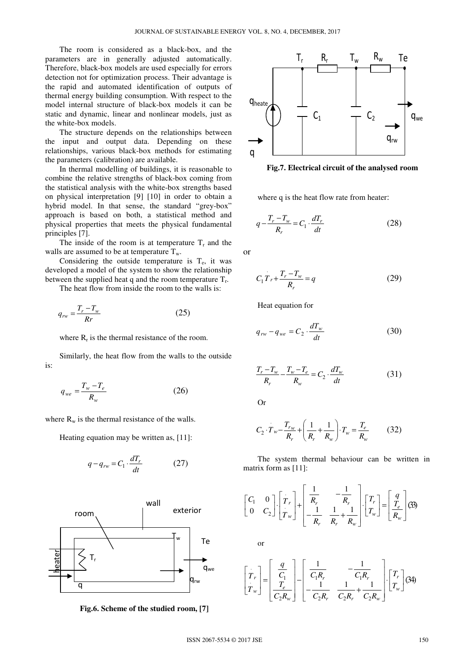The room is considered as a black-box, and the parameters are in generally adjusted automatically. Therefore, black-box models are used especially for errors detection not for optimization process. Their advantage is the rapid and automated identification of outputs of thermal energy building consumption. With respect to the model internal structure of black-box models it can be static and dynamic, linear and nonlinear models, just as the white-box models.

The structure depends on the relationships between the input and output data. Depending on these relationships, various black-box methods for estimating the parameters (calibration) are available.

In thermal modelling of buildings, it is reasonable to combine the relative strengths of black-box coming from the statistical analysis with the white-box strengths based on physical interpretation [9] [10] in order to obtain a hybrid model. In that sense, the standard "grey-box" approach is based on both, a statistical method and physical properties that meets the physical fundamental principles [7].

The inside of the room is at temperature  $T_r$  and the walls are assumed to be at temperature  $T_w$ .

Considering the outside temperature is  $T_e$ , it was developed a model of the system to show the relationship between the supplied heat q and the room temperature  $T_r$ .

The heat flow from inside the room to the walls is:

$$
q_{rw} = \frac{T_r - T_w}{Rr}
$$
 (25)

where  $R_r$  is the thermal resistance of the room.

Similarly, the heat flow from the walls to the outside is:

$$
q_{we} = \frac{T_w - T_e}{R_w} \tag{26}
$$

where  $R_w$  is the thermal resistance of the walls.

Heating equation may be written as, [11]:

$$
q - q_{rw} = C_1 \cdot \frac{dT_r}{dt} \tag{27}
$$



**Fig.6. Scheme of the studied room, [7]**



**Fig.7. Electrical circuit of the analysed room**

where q is the heat flow rate from heater:

$$
q - \frac{T_r - T_w}{R_r} = C_1 \cdot \frac{dT_r}{dt}
$$
 (28)

or

$$
C_1 T_r + \frac{T_r - T_w}{R_r} = q \tag{29}
$$

Heat equation for

$$
q_{rw} - q_{we} = C_2 \cdot \frac{dT_w}{dt} \tag{30}
$$

$$
\frac{T_r - T_w}{R_r} - \frac{T_w - T_e}{R_w} = C_2 \cdot \frac{dT_w}{dt}
$$
 (31)

Or

$$
C_2 \cdot T_w - \frac{T_{rw}}{R_r} + \left(\frac{1}{R_r} + \frac{1}{R_w}\right) \cdot T_w = \frac{T_e}{R_w} \tag{32}
$$

The system thermal behaviour can be written in matrix form as [11]:

$$
\begin{bmatrix} C_1 & 0 \ 0 & C_2 \end{bmatrix} \cdot \begin{bmatrix} T_r \\ T_w \end{bmatrix} + \begin{bmatrix} \frac{1}{R_r} & -\frac{1}{R_r} \\ -\frac{1}{R_r} & \frac{1}{R_r} + \frac{1}{R_w} \end{bmatrix} \cdot \begin{bmatrix} T_r \\ T_w \end{bmatrix} = \begin{bmatrix} q \\ \frac{T_e}{R_w} \end{bmatrix}
$$
(3)

or

$$
\begin{bmatrix} T_r \\ T_w \end{bmatrix} = \begin{bmatrix} \frac{q}{C_1} \\ \frac{T_e}{C_2 R_w} \end{bmatrix} - \begin{bmatrix} \frac{1}{C_1 R_r} & -\frac{1}{C_1 R_r} \\ -\frac{1}{C_2 R_r} & \frac{1}{C_2 R_r} + \frac{1}{C_2 R_w} \end{bmatrix} \cdot \begin{bmatrix} T_r \\ T_w \end{bmatrix}
$$
(34)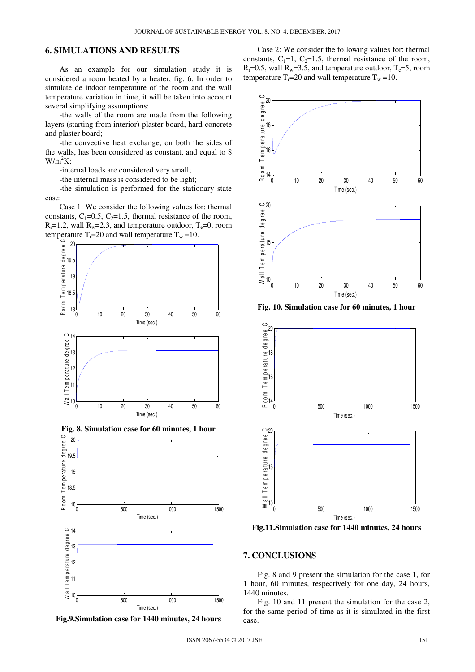# **6. SIMULATIONS AND RESULTS**

As an example for our simulation study it is considered a room heated by a heater, fig. 6. In order to simulate de indoor temperature of the room and the wall temperature variation in time, it will be taken into account several simplifying assumptions:

-the walls of the room are made from the following layers (starting from interior) plaster board, hard concrete and plaster board;

-the convective heat exchange, on both the sides of the walls, has been considered as constant, and equal to 8  $W/m^2K$ ;

-internal loads are considered very small;

-the internal mass is considered to be light;

-the simulation is performed for the stationary state case;

Case 1: We consider the following values for: thermal constants,  $C_1=0.5$ ,  $C_2=1.5$ , thermal resistance of the room,  $R_r=1.2$ , wall  $R_w=2.3$ , and temperature outdoor,  $T_e=0$ , room temperature  $T_r = 20$  and wall temperature  $T_w = 10$ .





**Fig.9.Simulation case for 1440 minutes, 24 hours** 

Case 2: We consider the following values for: thermal constants,  $C_1=1$ ,  $C_2=1.5$ , thermal resistance of the room,  $R_r=0.5$ , wall  $R_w=3.5$ , and temperature outdoor,  $T_e=5$ , room temperature  $T_r=20$  and wall temperature  $T_w=10$ .



**Fig. 10. Simulation case for 60 minutes, 1 hour** 



**Fig.11.Simulation case for 1440 minutes, 24 hours** 

#### **7. CONCLUSIONS**

Fig. 8 and 9 present the simulation for the case 1, for 1 hour, 60 minutes, respectively for one day, 24 hours, 1440 minutes.

Fig. 10 and 11 present the simulation for the case 2, for the same period of time as it is simulated in the first case.